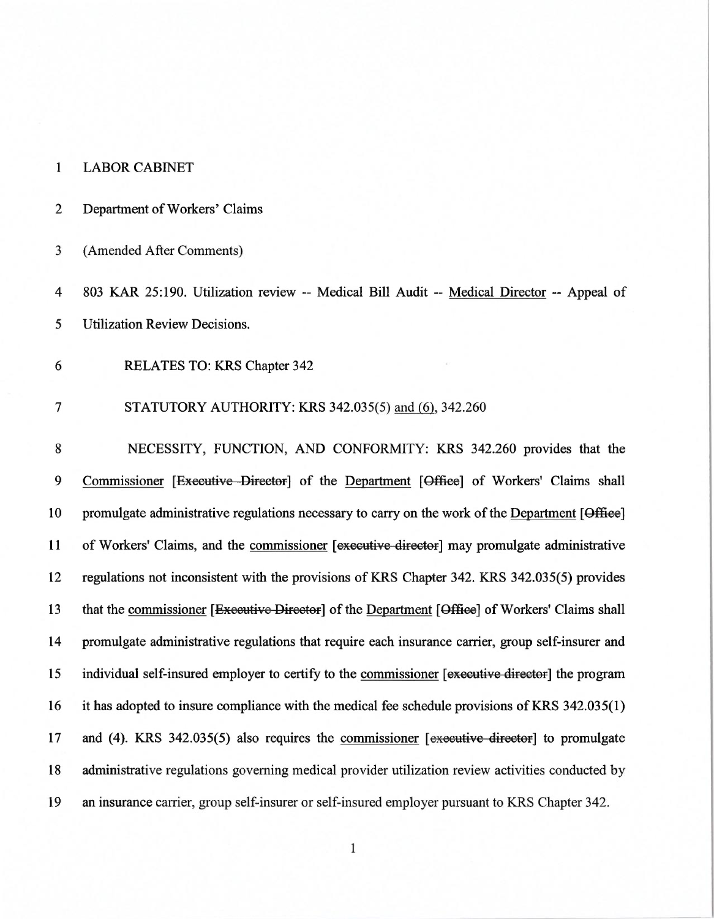## 1 LABOR CABINET

## 2 Department of Workers' Claims

3 (Amended After Comments)

4 803 KAR 25:190. Utilization review -- Medical Bill Audit -- Medical Director -- Appeal of 5 Utilization Review Decisions.

6 RELATES TO: KRS Chapter 342

## 7 STATUTORY AUTHORITY: KRS 342.035(5) and (6), 342.260

8 NECESSITY, FUNCTION, AND CONFORMITY: KRS 342.260 provides that the 9 Commissioner [Executive Director] of the Department [Office] of Workers' Claims shall 10 promulgate administrative regulations necessary to carry on the work of the Department [Office] 11 of Workers' Claims, and the commissioner [executive director] may promulgate administrative 12 regulations not inconsistent with the provisions of KRS Chapter 342. KRS 342.035(5) provides 13 that the commissioner [<del>Executive Director</del>] of the Department [Office] of Workers' Claims shall 14 promulgate administrative regulations that require each insurance carrier, group self-insurer and 15 individual self-insured employer to certify to the commissioner [executive director] the program 16 it has adopted to insure compliance with the medical fee schedule provisions of KRS 342.035(1) 17 and (4). KRS 342.035(5) also requires the commissioner  $[$ executive director  $]$  to promulgate 18 administrative regulations governing medical provider utilization review activities conducted by 19 an insurance carrier, group self-insurer or self-insured employer pursuant to KRS Chapter 342.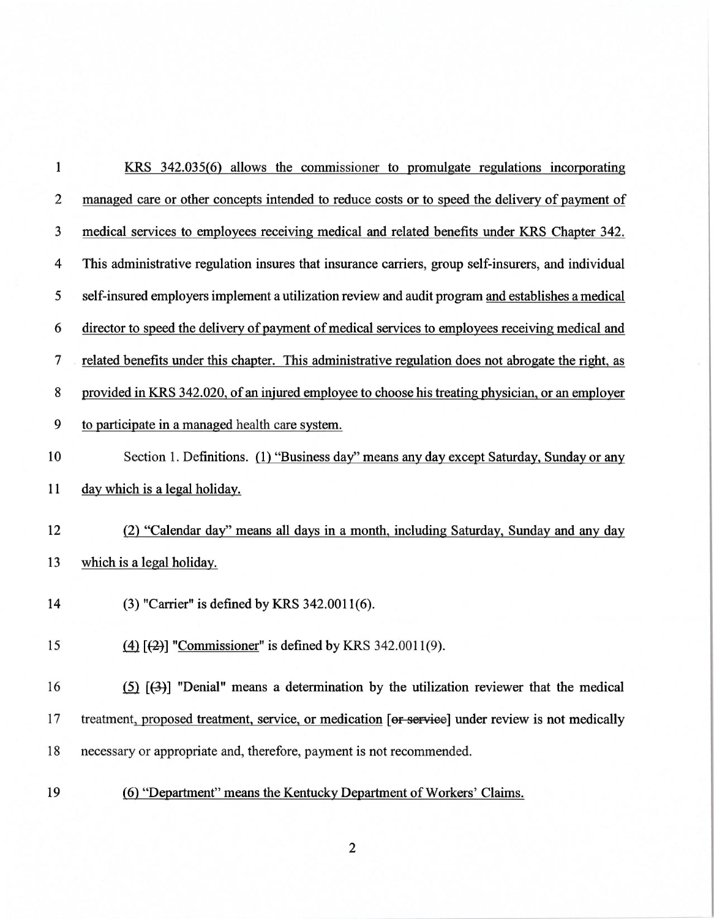| $\mathbf{1}$            | <u>KRS 342.035(6) allows the commissioner to promulgate regulations incorporating</u>               |
|-------------------------|-----------------------------------------------------------------------------------------------------|
| $\overline{c}$          | managed care or other concepts intended to reduce costs or to speed the delivery of payment of      |
| 3                       | medical services to employees receiving medical and related benefits under KRS Chapter 342.         |
| $\overline{\mathbf{4}}$ | This administrative regulation insures that insurance carriers, group self-insurers, and individual |
| 5                       | self-insured employers implement a utilization review and audit program and establishes a medical   |
| 6                       | director to speed the delivery of payment of medical services to employees receiving medical and    |
| 7                       | related benefits under this chapter. This administrative regulation does not abrogate the right, as |
| 8                       | provided in KRS 342.020, of an injured employee to choose his treating physician, or an employer    |
| 9                       | to participate in a managed health care system.                                                     |
| 10                      | Section 1. Definitions. (1) "Business day" means any day except Saturday, Sunday or any             |
| 11                      | day which is a legal holiday.                                                                       |
| 12                      | (2) "Calendar day" means all days in a month, including Saturday, Sunday and any day                |
| 13                      | which is a legal holiday.                                                                           |
| 14                      | (3) "Carrier" is defined by KRS 342.0011(6).                                                        |
| 15                      | (4) $[2]$ "Commissioner" is defined by KRS 342.0011(9).                                             |
| 16                      | $(5)$ $(3)$ ] "Denial" means a determination by the utilization reviewer that the medical           |
| 17                      | treatment, proposed treatment, service, or medication [or service] under review is not medically    |
| 18                      | necessary or appropriate and, therefore, payment is not recommended.                                |
| 19                      | (6) "Department" means the Kentucky Department of Workers' Claims.                                  |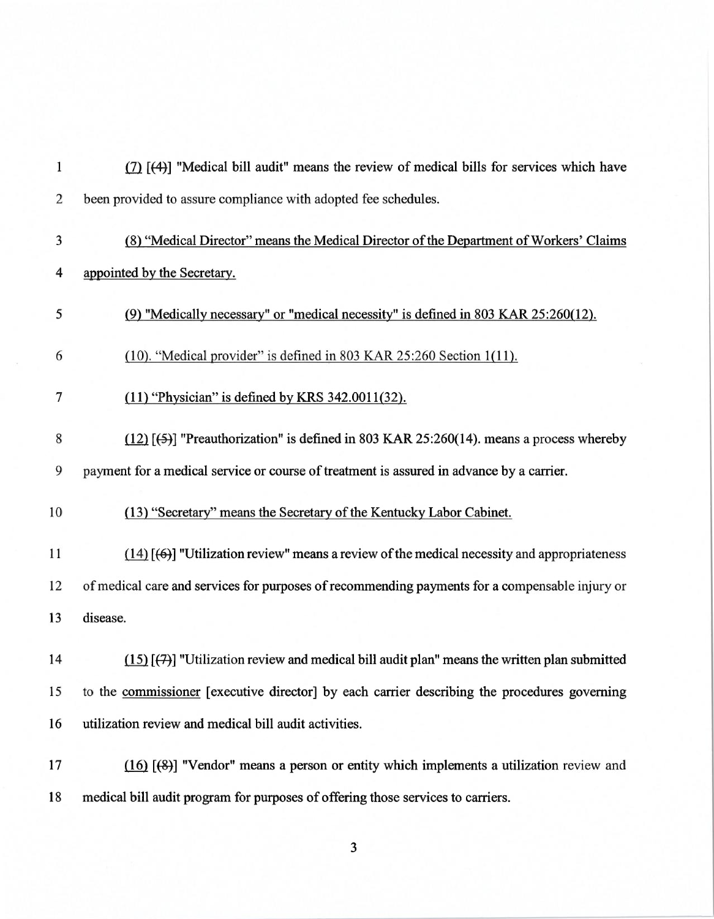| $\mathbf{1}$   | (7) [(4)] "Medical bill audit" means the review of medical bills for services which have           |
|----------------|----------------------------------------------------------------------------------------------------|
| $\overline{c}$ | been provided to assure compliance with adopted fee schedules.                                     |
| 3              | (8) "Medical Director" means the Medical Director of the Department of Workers' Claims             |
| 4              | appointed by the Secretary.                                                                        |
| 5              | (9) "Medically necessary" or "medical necessity" is defined in 803 KAR 25:260(12).                 |
| 6              | (10). "Medical provider" is defined in 803 KAR 25:260 Section 1(11).                               |
| 7              | $(11)$ "Physician" is defined by KRS 342.0011(32).                                                 |
| 8              | $(12)$ [ $(5)$ ] "Preauthorization" is defined in 803 KAR 25:260(14). means a process whereby      |
| 9              | payment for a medical service or course of treatment is assured in advance by a carrier.           |
| 10             | (13) "Secretary" means the Secretary of the Kentucky Labor Cabinet.                                |
| 11             | $(14)$ [ $(6)$ ] "Utilization review" means a review of the medical necessity and appropriateness  |
| 12             | of medical care and services for purposes of recommending payments for a compensable injury or     |
| 13             | disease.                                                                                           |
| 14             | $(15)$ [ $(7)$ ] "Utilization review and medical bill audit plan" means the written plan submitted |
| 15             | to the commissioner [executive director] by each carrier describing the procedures governing       |
| 16             | utilization review and medical bill audit activities.                                              |
| 17             | (16) [(8)] "Vendor" means a person or entity which implements a utilization review and             |
| 18             | medical bill audit program for purposes of offering those services to carriers.                    |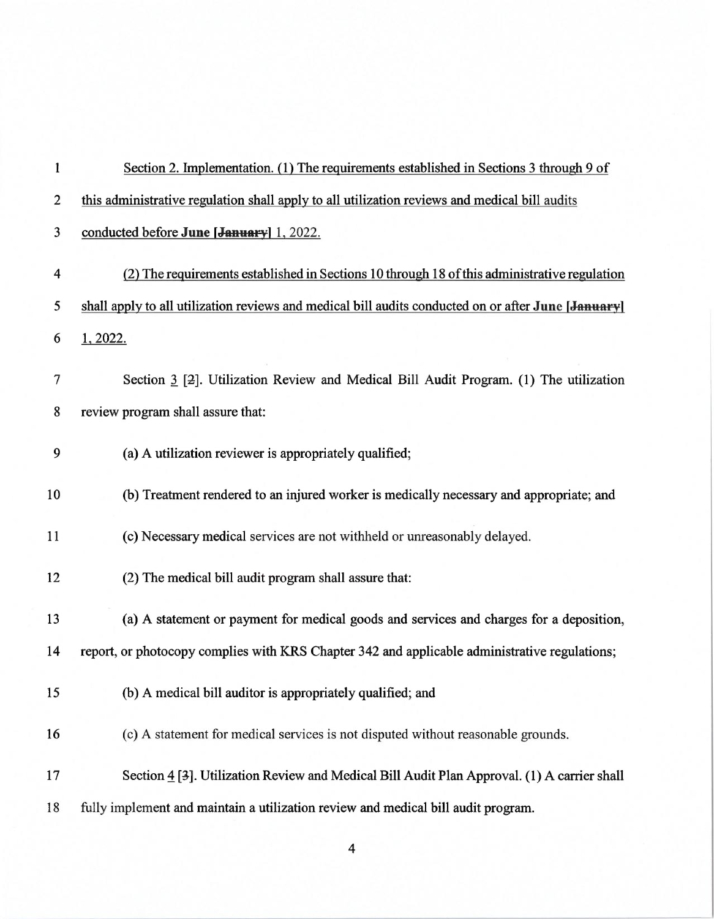| $\mathbf{1}$            | Section 2. Implementation. (1) The requirements established in Sections 3 through 9 of              |
|-------------------------|-----------------------------------------------------------------------------------------------------|
| $\overline{c}$          | this administrative regulation shall apply to all utilization reviews and medical bill audits       |
| 3                       | conducted before June [January] 1, 2022.                                                            |
| $\overline{\mathbf{4}}$ | (2) The requirements established in Sections 10 through 18 of this administrative regulation        |
| 5                       | shall apply to all utilization reviews and medical bill audits conducted on or after June [January] |
| 6                       | 1, 2022.                                                                                            |
| 7                       | Section 3 [2]. Utilization Review and Medical Bill Audit Program. (1) The utilization               |
| 8                       | review program shall assure that:                                                                   |
| 9                       | (a) A utilization reviewer is appropriately qualified;                                              |
| 10                      | (b) Treatment rendered to an injured worker is medically necessary and appropriate; and             |
| 11                      | (c) Necessary medical services are not withheld or unreasonably delayed.                            |
| 12                      | (2) The medical bill audit program shall assure that:                                               |
| 13                      | (a) A statement or payment for medical goods and services and charges for a deposition,             |
| 14                      | report, or photocopy complies with KRS Chapter 342 and applicable administrative regulations;       |
| 15                      | (b) A medical bill auditor is appropriately qualified; and                                          |
| 16                      | (c) A statement for medical services is not disputed without reasonable grounds.                    |
| 17                      | Section 4 [3]. Utilization Review and Medical Bill Audit Plan Approval. (1) A carrier shall         |
| 18                      | fully implement and maintain a utilization review and medical bill audit program.                   |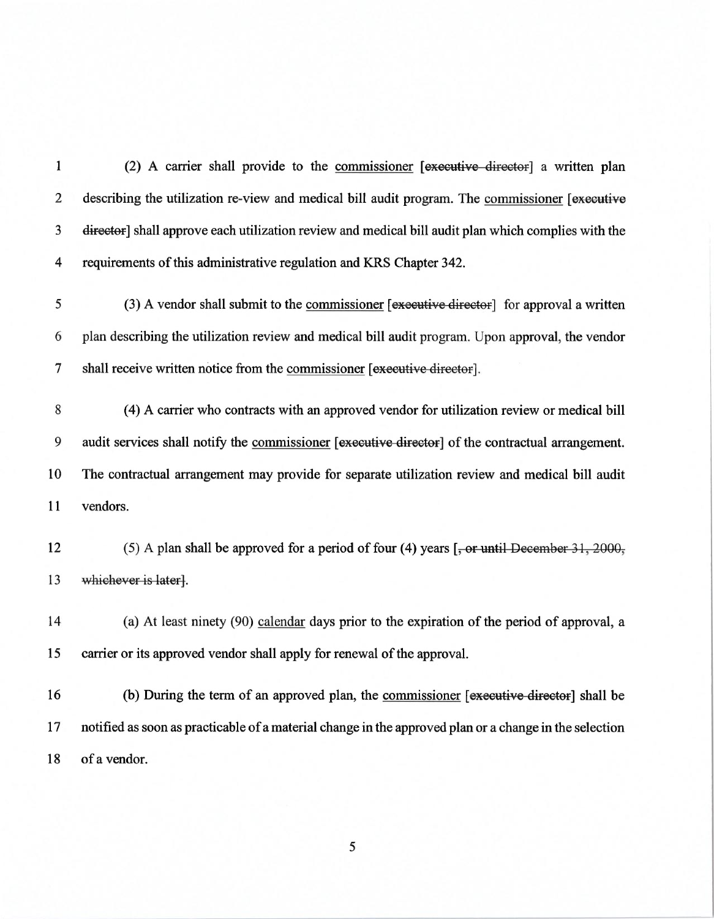1 (2) A carrier shall provide to the commissioner [executive director] a written plan 2 describing the utilization re-view and medical bill audit program. The commissioner [executive 3 director] shall approve each utilization review and medical bill audit plan which complies with the 4 requirements of this administrative regulation and KRS Chapter 342.  $5$  (3) A vendor shall submit to the commissioner [executive director] for approval a written 6 plan describing the utilization review and medical bill audit program. Upon approval, the vendor 7 shall receive written notice from the commissioner [executive director]. 8 (4) A carrier who contracts with an approved vendor for utilization review or medical bill 9 audit services shall notify the commissioner [executive director] of the contractual arrangement. 10 The contractual arrangement may provide for separate utilization review and medical bill audit 11 vendors. 12 (5) A plan shall be approved for a period of four (4) years  $[-\text{or until December 31}, 2000,$ 13 whichever is laterl. 14 (a) At least ninety (90) calendar days prior to the expiration of the period of approval, a 15 carrier or its approved vendor shall apply for renewal of the approval. 16 (b) During the term of an approved plan, the commissioner [executive director] shall be 17 notified as soon as practicable of a material change in the approved plan or a change in the selection 18 of a vendor.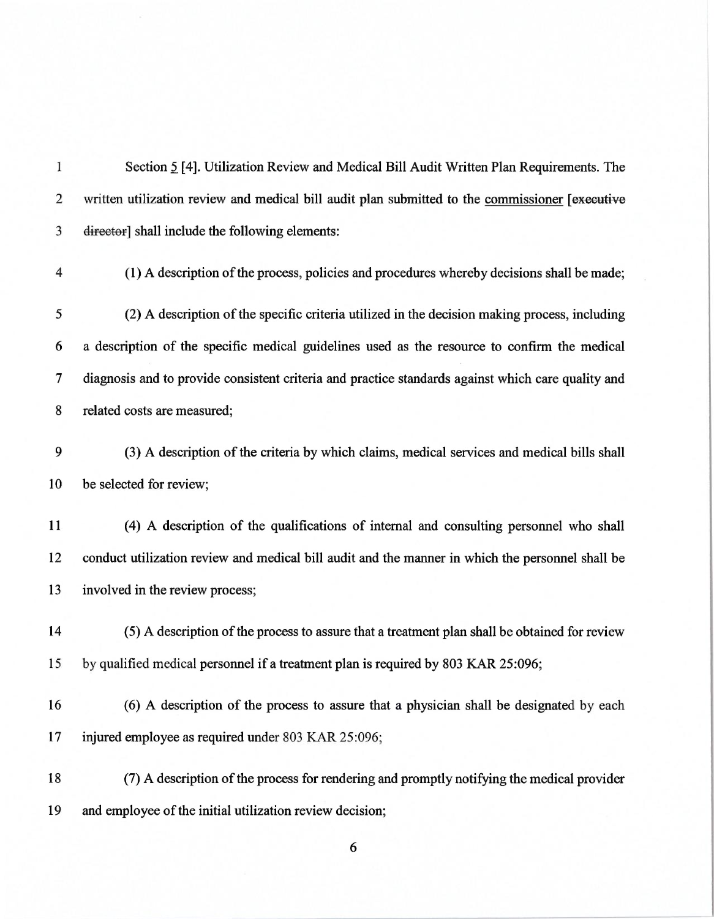| $\mathbf{1}$   | Section 5 [4]. Utilization Review and Medical Bill Audit Written Plan Requirements. The            |
|----------------|----------------------------------------------------------------------------------------------------|
| $\overline{2}$ | written utilization review and medical bill audit plan submitted to the commissioner [executive    |
| 3              | director] shall include the following elements:                                                    |
| $\overline{4}$ | (1) A description of the process, policies and procedures whereby decisions shall be made;         |
| 5              | (2) A description of the specific criteria utilized in the decision making process, including      |
| 6              | a description of the specific medical guidelines used as the resource to confirm the medical       |
| 7              | diagnosis and to provide consistent criteria and practice standards against which care quality and |
| 8              | related costs are measured;                                                                        |
| 9              | (3) A description of the criteria by which claims, medical services and medical bills shall        |
| 10             | be selected for review;                                                                            |
| 11             | (4) A description of the qualifications of internal and consulting personnel who shall             |
| 12             | conduct utilization review and medical bill audit and the manner in which the personnel shall be   |
| 13             | involved in the review process;                                                                    |
| 14             | (5) A description of the process to assure that a treatment plan shall be obtained for review      |
| 15             | by qualified medical personnel if a treatment plan is required by 803 KAR 25:096;                  |
| 16             | (6) A description of the process to assure that a physician shall be designated by each            |
| 17             | injured employee as required under 803 KAR 25:096;                                                 |
| 18             | (7) A description of the process for rendering and promptly notifying the medical provider         |
| 19             | and employee of the initial utilization review decision;                                           |

 $\overline{6}$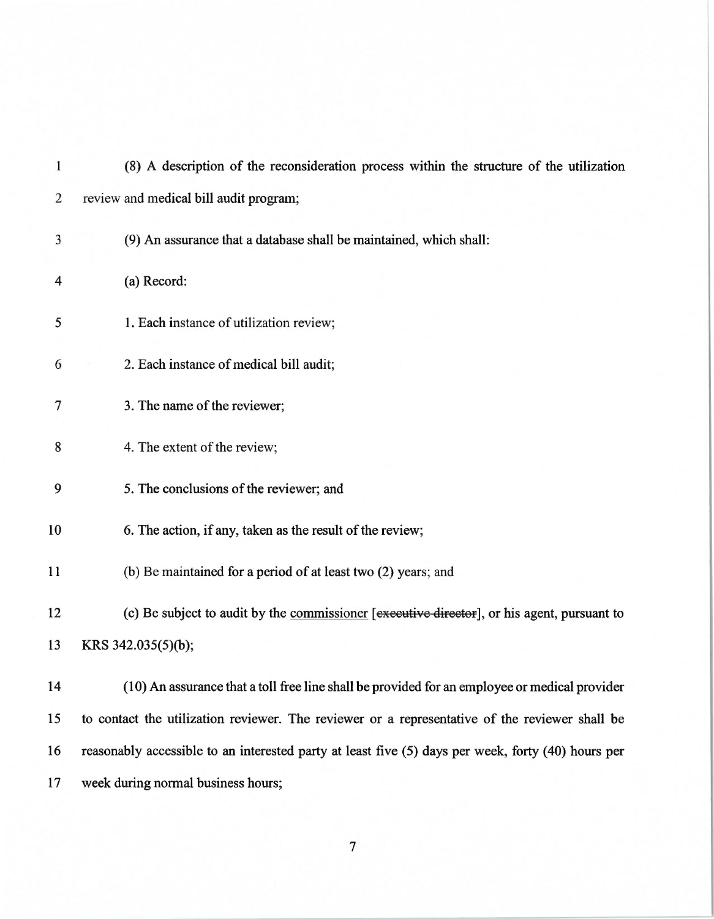| $\mathbf{1}$   | (8) A description of the reconsideration process within the structure of the utilization           |
|----------------|----------------------------------------------------------------------------------------------------|
| $\overline{2}$ | review and medical bill audit program;                                                             |
| 3              | (9) An assurance that a database shall be maintained, which shall:                                 |
| 4              | (a) Record:                                                                                        |
| 5              | 1. Each instance of utilization review;                                                            |
| 6              | 2. Each instance of medical bill audit;                                                            |
| 7              | 3. The name of the reviewer;                                                                       |
| 8              | 4. The extent of the review;                                                                       |
| 9              | 5. The conclusions of the reviewer; and                                                            |
| 10             | 6. The action, if any, taken as the result of the review;                                          |
| 11             | (b) Be maintained for a period of at least two (2) years; and                                      |
| 12             | (c) Be subject to audit by the commissioner [executive director], or his agent, pursuant to        |
| 13             | KRS 342.035(5)(b);                                                                                 |
| 14             | (10) An assurance that a toll free line shall be provided for an employee or medical provider      |
| 15             | to contact the utilization reviewer. The reviewer or a representative of the reviewer shall be     |
| 16             | reasonably accessible to an interested party at least five (5) days per week, forty (40) hours per |
| 17             | week during normal business hours;                                                                 |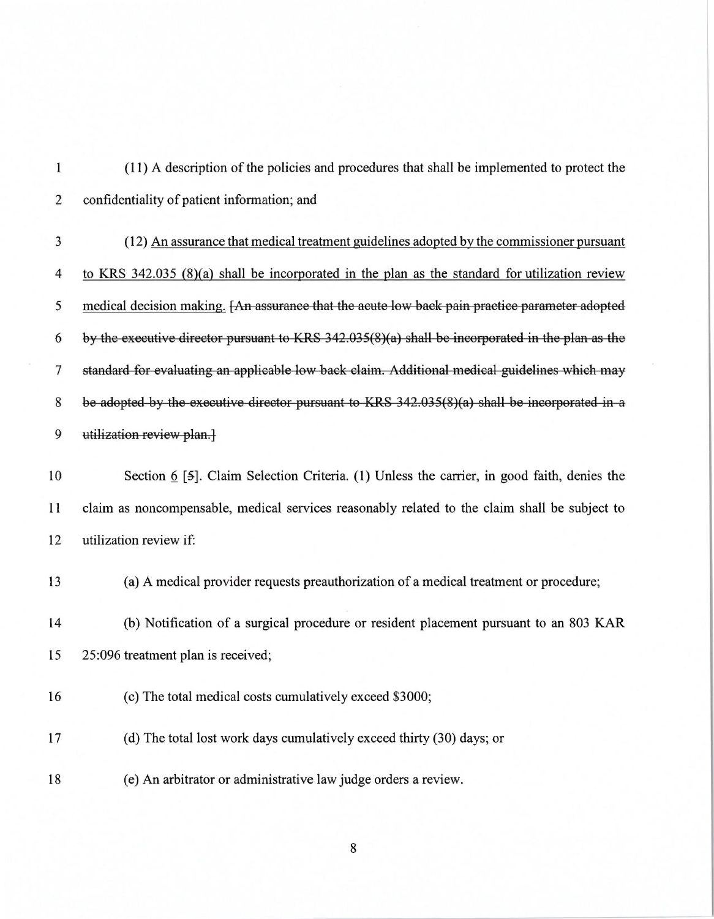(11) A description of the policies and procedures that shall be implemented to protect the  $\mathbf{1}$ 2 confidentiality of patient information; and 3 (12) An assurance that medical treatment guidelines adopted by the commissioner pursuant 4 to KRS 342.035 (8)(a) shall be incorporated in the plan as the standard for utilization review 5 medical decision making.  $\overline{r}$  assurance that the acute low back pain practice parameter adopted 6 by the executive director pursuant to KRS  $342.035(8)(a)$  shall be incorporated in the plan as the  $\overline{7}$ standard for evaluating an applicable low back claim. Additional medical guidelines which may 8 be adopted by the executive director pursuant to KRS  $342.035(8)$  a) shall be incorporated in a • utilization review plan. 10 Section 6 [5]. Claim Selection Criteria. (1) Unless the carrier, in good faith, denies the 11 claim as noncompensable, medical services reasonably related to the claim shall be subject to 12 utilization review if: 13 (a) A medical provider requests preauthorization of a medical treatment or procedure; 14 (b) Notification of a surgical procedure or resident placement pursuant to an 803 KAR 15 25:096 treatment plan is received; 16 (c) The total medical costs cumulatively exceed \$3000; 17 (d) The total lost work days cumulatively exceed thirty (30) days; or

18 (e) An arbitrator or administrative law judge orders a review.

 $\,8\,$